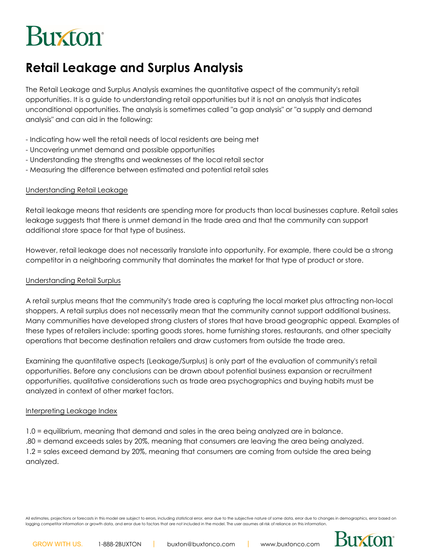# **Buxton**

# **Retail Leakage and Surplus Analysis**

The Retail Leakage and Surplus Analysis examines the quantitative aspect of the community's retail opportunities. It is a guide to understanding retail opportunities but it is not an analysis that indicates unconditional opportunities. The analysis is sometimes called "a gap analysis" or "a supply and demand analysis" and can aid in the following:

- Indicating how well the retail needs of local residents are being met
- Uncovering unmet demand and possible opportunities
- Understanding the strengths and weaknesses of the local retail sector
- Measuring the difference between estimated and potential retail sales

#### Understanding Retail Leakage

Retail leakage means that residents are spending more for products than local businesses capture. Retail sales leakage suggests that there is unmet demand in the trade area and that the community can support additional store space for that type of business.

However, retail leakage does not necessarily translate into opportunity. For example, there could be a strong competitor in a neighboring community that dominates the market for that type of product or store.

#### Understanding Retail Surplus

A retail surplus means that the community's trade area is capturing the local market plus attracting non-local shoppers. A retail surplus does not necessarily mean that the community cannot support additional business. Many communities have developed strong clusters of stores that have broad geographic appeal. Examples of these types of retailers include: sporting goods stores, home furnishing stores, restaurants, and other specialty operations that become destination retailers and draw customers from outside the trade area.

Examining the quantitative aspects (Leakage/Surplus) is only part of the evaluation of community's retail opportunities. Before any conclusions can be drawn about potential business expansion or recruitment opportunities, qualitative considerations such as trade area psychographics and buying habits must be analyzed in context of other market factors.

#### Interpreting Leakage Index

1.0 = equilibrium, meaning that demand and sales in the area being analyzed are in balance. .80 = demand exceeds sales by 20%, meaning that consumers are leaving the area being analyzed. 1.2 = sales exceed demand by 20%, meaning that consumers are coming from outside the area being analyzed.

All estimates, projections or forecasts in this model are subject to errors, including statistical error, error due to the subjective nature of some data, error due to changes in demographics, error based on lagging competitor information or growth data, and error due to factors that are not included in the model. The user assumes all risk of reliance on this information

**Buxton**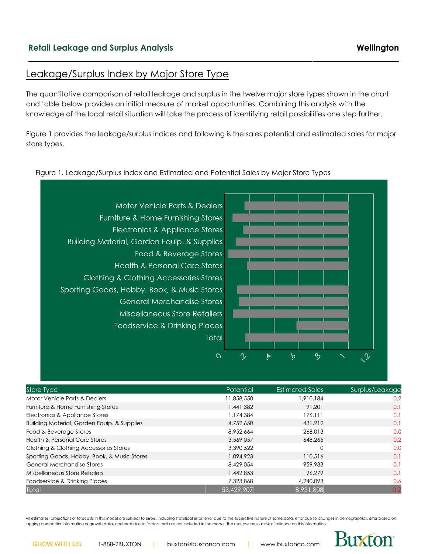#### Leakage/Surplus Index by Major Store Type

The quantitative comparison of retail leakage and surplus in the twelve major store types shown in the chart and table below provides an initial measure of market opportunities. Combining this analysis with the knowledge of the local retail situation will take the process of identifying retail possibilities one step further.

Figure 1 provides the leakage/surplus indices and following is the sales potential and estimated sales for major store types.

#### Figure 1. Leakage/Surplus Index and Estimated and Potential Sales by Major Store Types



| Store Type                                             | Potential  | <b>Estimated Sales</b> | Surplus/Leakage |
|--------------------------------------------------------|------------|------------------------|-----------------|
| Motor Vehicle Parts & Dealers                          | 11,858,550 | ,910,184               | 0.2             |
| Furniture & Home Furnishing Stores                     | 1,441,382  | 91.201                 | 0.1             |
| Electronics & Appliance Stores                         | 1,174,384  | 176,111                | 0.1             |
| <b>Building Material, Garden Equip. &amp; Supplies</b> | 4,752,650  | 431,212                | 0.1             |
| Food & Beverage Stores                                 | 8,952,664  | 268,013                | 0.0             |
| <b>Health &amp; Personal Care Stores</b>               | 3,569,057  | 648.265                | 0.2             |
| Clothing & Clothing Accessories Stores                 | 3,390,522  | $\Omega$               | 0.0             |
| Sporting Goods, Hobby, Book, & Music Stores            | 1,094,923  | 110,516                | 0.1             |
| <b>General Merchandise Stores</b>                      | 8,429,054  | 959.933                | 0.1             |
| Miscellaneous Store Retailers                          | 1,442,853  | 96.279                 | 0.1             |
| Foodservice & Drinking Places                          | 7,323,868  | 4,240,093              | 0.6             |
| Total                                                  | 53,429,907 | 8,931,808              | 0.2             |

All estimates, projections or forecasts in this model are subject to errors, including statistical error, error due to the subjective nature of some data, error due to changes in demographics, error based on lagging competitor information or growth data, and error due to factors that are not included in the model. The user assumes all risk of reliance on this information



Buxton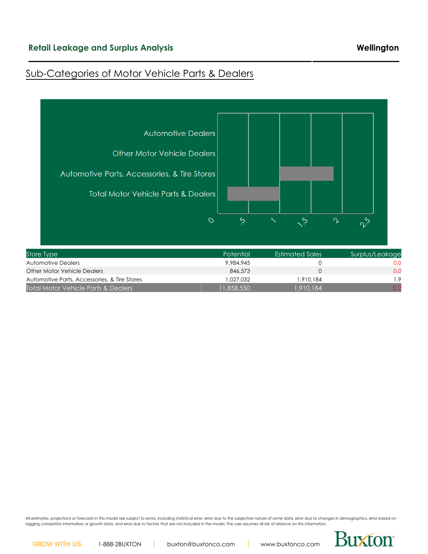### Sub-Categories of Motor Vehicle Parts & Dealers



| Store Type                                   | Potential | <b>Estimated Sales</b> | Surplus/Leakage |
|----------------------------------------------|-----------|------------------------|-----------------|
| Automotive Dealers                           | 9.984.945 |                        | 0.0             |
| Other Motor Vehicle Dealers                  | 846,573   |                        | 0.0             |
| Automotive Parts, Accessories, & Tire Stores | 1.027.032 | 1.910.184              | 1.9             |
| Total Motor Vehicle Parts & Dealers          | 1,858,550 | 1,910,184              |                 |

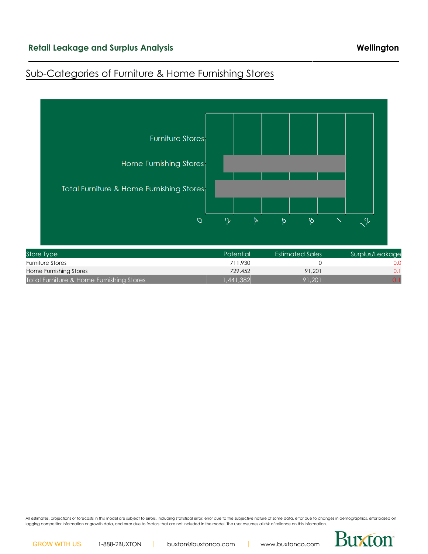### Sub-Categories of Furniture & Home Furnishing Stores



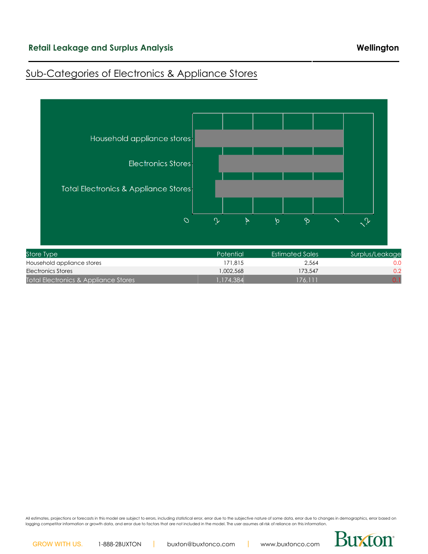### Sub-Categories of Electronics & Appliance Stores

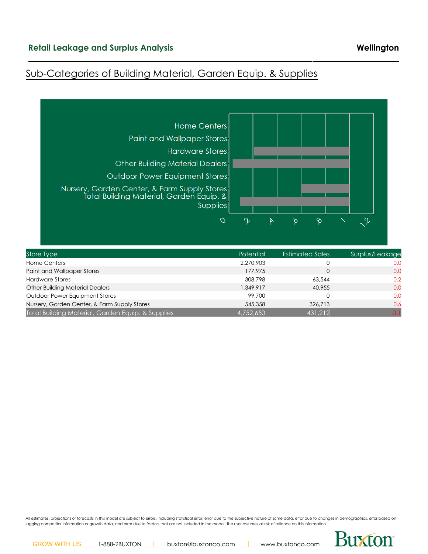### Sub-Categories of Building Material, Garden Equip. & Supplies



| Store Type                                        | <b>Potential</b> | <b>Estimated Sales</b> | Surplus/Leakage |
|---------------------------------------------------|------------------|------------------------|-----------------|
| <b>Home Centers</b>                               | 2.270.903        | 0                      | 0.0             |
| Paint and Wallpaper Stores                        | 177.975          | $\Omega$               | 0.0             |
| <b>Hardware Stores</b>                            | 308,798          | 63,544                 | 0.2             |
| <b>Other Building Material Dealers</b>            | 1,349,917        | 40.955                 | 0.0             |
| <b>Outdoor Power Equipment Stores</b>             | 99,700           | 0                      | 0.0             |
| Nursery, Garden Center, & Farm Supply Stores      | 545,358          | 326,713                | 0.6             |
| Total Building Material, Garden Equip. & Supplies | 4.752.650        | 431,212                | 0.1             |

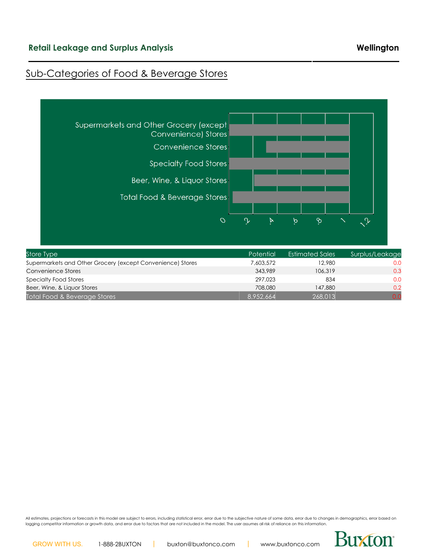### Sub-Categories of Food & Beverage Stores



| <b>JIUIG IYNG</b>                                          | LUIGHIUI. | LJIII IUITU JUITJ | <b>POLITION LEARANC</b> |
|------------------------------------------------------------|-----------|-------------------|-------------------------|
| Supermarkets and Other Grocery (except Convenience) Stores | 7,603,572 | 12.980            | 0.0                     |
| Convenience Stores                                         | 343,989   | 106,319           | 0.3                     |
| Specialty Food Stores                                      | 297.023   | 834               | 0.0                     |
| Beer, Wine, & Liquor Stores                                | 708,080   | 147.880           | 0.2                     |
| Total Food & Beverage Stores                               | 8.952.664 | 268,013           |                         |

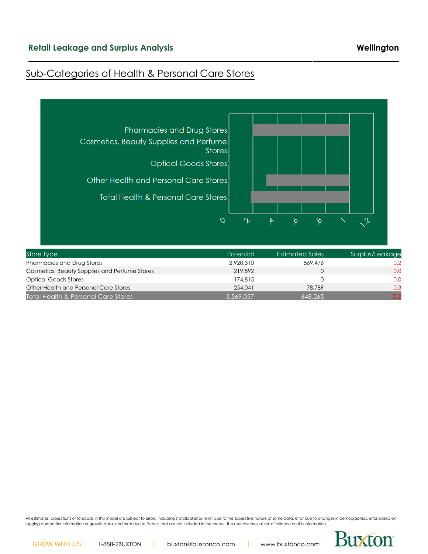### Sub-Categories of Health & Personal Care Stores



| Store Type                                    | Potential | <b>Estimated Sales</b> | Surplus/Leakage |
|-----------------------------------------------|-----------|------------------------|-----------------|
| Pharmacies and Drug Stores                    | 2.920.310 | 569,476                | 0.2             |
| Cosmetics, Beauty Supplies and Perfume Stores | 219,892   |                        | 0.0             |
| <b>Optical Goods Stores</b>                   | 174,815   |                        | 0.0             |
| Other Health and Personal Care Stores         | 254.041   | 78.789                 | 0.3             |
| Total Health & Personal Care Stores           | 3.569.057 | 648,265                | 0.2             |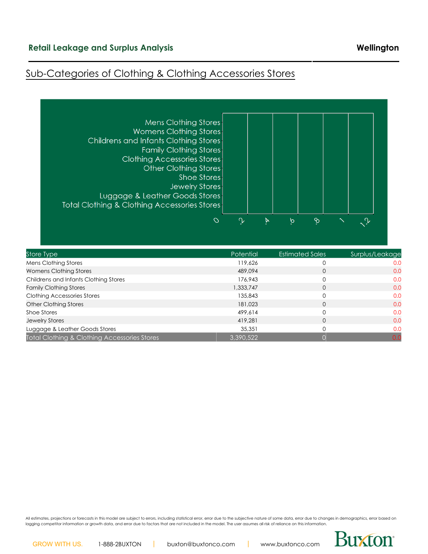#### **Retail Leakage and Surplus Analysis Wellington**

#### Sub-Categories of Clothing & Clothing Accessories Stores



| Store Type                                   | <b>Potential</b> | <b>Estimated Sales</b> | Surplus/Leakage |
|----------------------------------------------|------------------|------------------------|-----------------|
| Mens Clothing Stores                         | 119,626          |                        | 0.0             |
| Womens Clothing Stores                       | 489,094          | 0                      | 0.0             |
| Childrens and Infants Clothing Stores        | 176.943          |                        | 0.0             |
| <b>Family Clothing Stores</b>                | 1,333,747        | 0                      | 0.0             |
| <b>Clothing Accessories Stores</b>           | 135,843          |                        | 0.0             |
| <b>Other Clothing Stores</b>                 | 181.023          | 0                      | 0.0             |
| Shoe Stores                                  | 499.614          |                        | 0.0             |
| <b>Jewelry Stores</b>                        | 419,281          | $\Omega$               | 0.0             |
| Luggage & Leather Goods Stores               | 35,351           |                        | 0.0             |
| Total Clothing & Clothing Accessories Stores | 3,390,522        |                        | 0.0             |

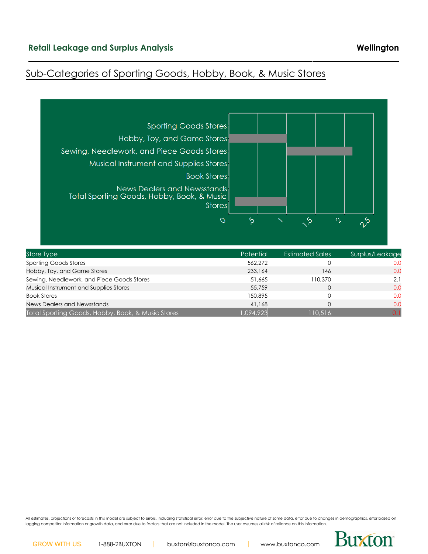# Sub-Categories of Sporting Goods, Hobby, Book, & Music Stores



| Store Type                                        | <b>Potential</b> | <b>Estimated Sales</b> | Surplus/Leakage |
|---------------------------------------------------|------------------|------------------------|-----------------|
| <b>Sporting Goods Stores</b>                      | 562,272          |                        | 0.0             |
| Hobby, Toy, and Game Stores                       | 233,164          | 146                    | 0.0             |
| Sewing, Needlework, and Piece Goods Stores        | 51,665           | 110.370                | 2.1             |
| Musical Instrument and Supplies Stores            | 55,759           |                        | 0.0             |
| <b>Book Stores</b>                                | 150.895          |                        | 0.0             |
| News Dealers and Newsstands                       | 41.168           |                        | 0.0             |
| Total Sporting Goods, Hobby, Book, & Music Stores | 1.094.923        | 110,516                | 0.1             |

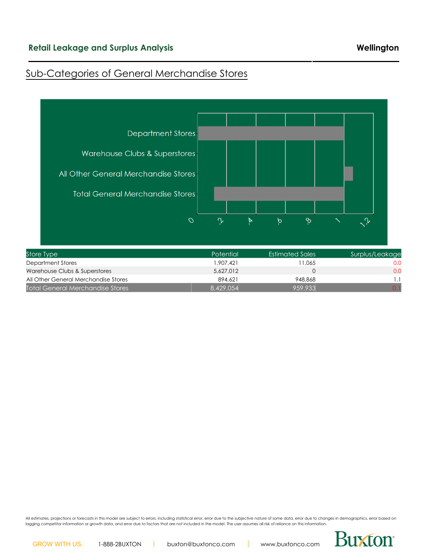### Sub-Categories of General Merchandise Stores



All estimates, projections or forecasts in this model are subject to errors, including statistical error, error due to the subjective nature of some data, error due to changes in demographics, error based on lagging competitor information or growth data, and error due to factors that are not included in the model. The user assumes all risk of reliance on this information.



Total General Merchandise Stores 8,429,054 8,429,054 959,933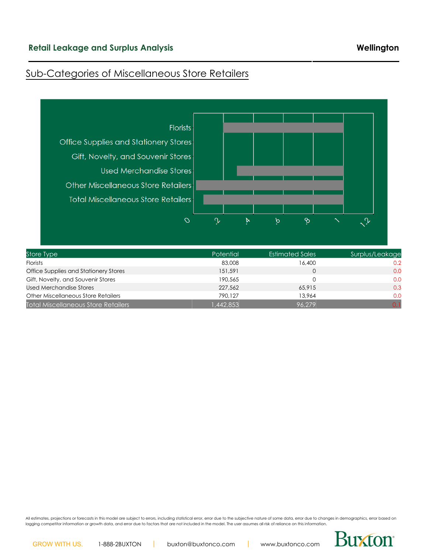# Sub-Categories of Miscellaneous Store Retailers



| Store Type                                 | <b>Potential</b> | Estimated Sales | Surplus/Leakage |
|--------------------------------------------|------------------|-----------------|-----------------|
| <b>Florists</b>                            | 83,008           | 16,400          | 0.2             |
| Office Supplies and Stationery Stores      | 151.591          |                 | 0.0             |
| Gift, Novelty, and Souvenir Stores         | 190.565          |                 | 0.0             |
| Used Merchandise Stores                    | 227,562          | 65,915          | 0.3             |
| <b>Other Miscellaneous Store Retailers</b> | 790.127          | 13.964          | 0.0             |
| <b>Total Miscellaneous Store Retailers</b> | 1,442,853        | 96.279          |                 |

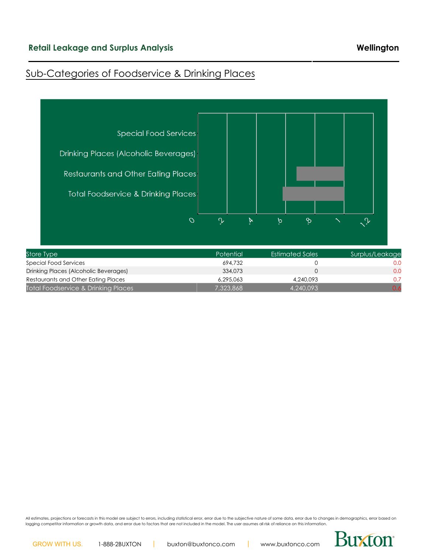# Sub-Categories of Foodservice & Drinking Places



| store Ivpe                            | <b>Potential</b> | Estimated Sales | Surplus/Leakage |
|---------------------------------------|------------------|-----------------|-----------------|
| Special Food Services                 | 694.732          |                 |                 |
| Drinking Places (Alcoholic Beverages) | 334,073          |                 | 0.0             |
| Restaurants and Other Eating Places   | 6.295.063        | 4.240.093       | 0.7             |
| Total Foodservice & Drinking Places   | 7.323.868        | 4.240.093       | 0.6             |